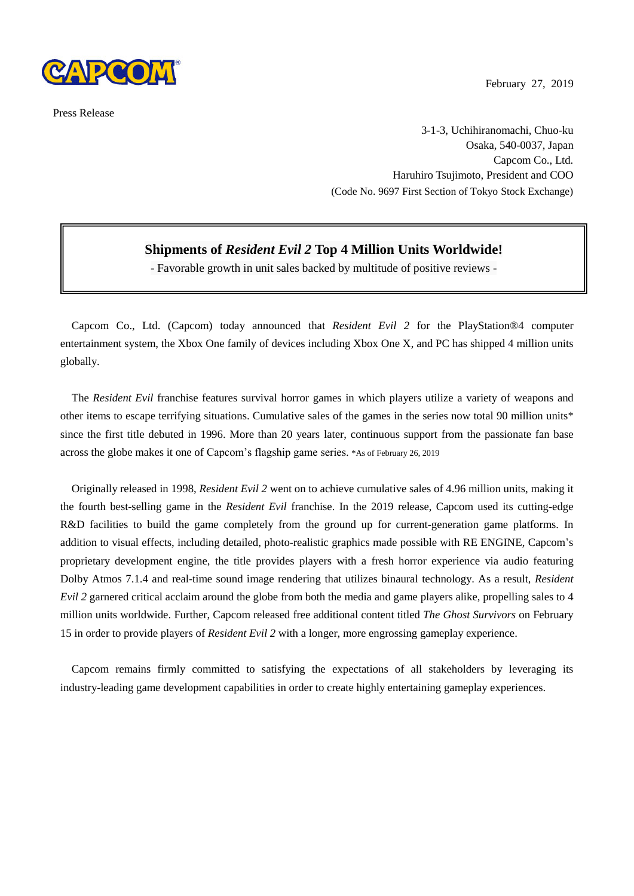

Press Release

February 27, 2019

3-1-3, Uchihiranomachi, Chuo-ku Osaka, 540-0037, Japan Capcom Co., Ltd. Haruhiro Tsujimoto, President and COO (Code No. 9697 First Section of Tokyo Stock Exchange)

## **Shipments of** *Resident Evil 2* **Top 4 Million Units Worldwide!**

- Favorable growth in unit sales backed by multitude of positive reviews -

Capcom Co., Ltd. (Capcom) today announced that *Resident Evil 2* for the PlayStation®4 computer entertainment system, the Xbox One family of devices including Xbox One X, and PC has shipped 4 million units globally.

The *Resident Evil* franchise features survival horror games in which players utilize a variety of weapons and other items to escape terrifying situations. Cumulative sales of the games in the series now total 90 million units\* since the first title debuted in 1996. More than 20 years later, continuous support from the passionate fan base across the globe makes it one of Capcom's flagship game series. \*As of February 26, 2019

Originally released in 1998, *Resident Evil 2* went on to achieve cumulative sales of 4.96 million units, making it the fourth best-selling game in the *Resident Evil* franchise. In the 2019 release, Capcom used its cutting-edge R&D facilities to build the game completely from the ground up for current-generation game platforms. In addition to visual effects, including detailed, photo-realistic graphics made possible with RE ENGINE, Capcom's proprietary development engine, the title provides players with a fresh horror experience via audio featuring Dolby Atmos 7.1.4 and real-time sound image rendering that utilizes binaural technology. As a result, *Resident Evil 2* garnered critical acclaim around the globe from both the media and game players alike, propelling sales to 4 million units worldwide. Further, Capcom released free additional content titled *The Ghost Survivors* on February 15 in order to provide players of *Resident Evil 2* with a longer, more engrossing gameplay experience.

Capcom remains firmly committed to satisfying the expectations of all stakeholders by leveraging its industry-leading game development capabilities in order to create highly entertaining gameplay experiences.